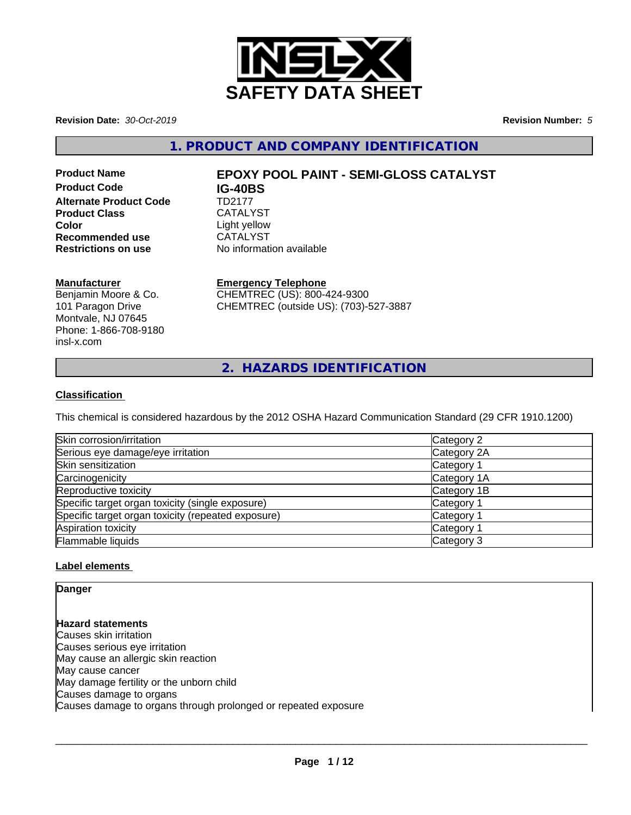

**Revision Date:** *30-Oct-2019* **Revision Number:** *5*

**1. PRODUCT AND COMPANY IDENTIFICATION**

**Product Code IG-40BS Alternate Product Code** TD2177 Product Class CATALYST **Color**<br> **Recommended use**<br>
CATALYST **Recommended use**<br>Restrictions on use

# **Product Name EPOXY POOL PAINT - SEMI-GLOSS CATALYST**

### **Manufacturer**

Benjamin Moore & Co. 101 Paragon Drive Montvale, NJ 07645 Phone: 1-866-708-9180 insl-x.com

# **Emergency Telephone**

**No information available** 

CHEMTREC (US): 800-424-9300 CHEMTREC (outside US): (703)-527-3887

**2. HAZARDS IDENTIFICATION**

## **Classification**

This chemical is considered hazardous by the 2012 OSHA Hazard Communication Standard (29 CFR 1910.1200)

| Skin corrosion/irritation                          | Category 2  |
|----------------------------------------------------|-------------|
| Serious eye damage/eye irritation                  | Category 2A |
| Skin sensitization                                 | Category 1  |
| Carcinogenicity                                    | Category 1A |
| Reproductive toxicity                              | Category 1B |
| Specific target organ toxicity (single exposure)   | Category 1  |
| Specific target organ toxicity (repeated exposure) | Category 1  |
| Aspiration toxicity                                | Category 1  |
| Flammable liquids                                  | Category 3  |

## **Label elements**

## **Danger**

# **Hazard statements**

Causes skin irritation Causes serious eye irritation May cause an allergic skin reaction May cause cancer May damage fertility or the unborn child Causes damage to organs Causes damage to organs through prolonged or repeated exposure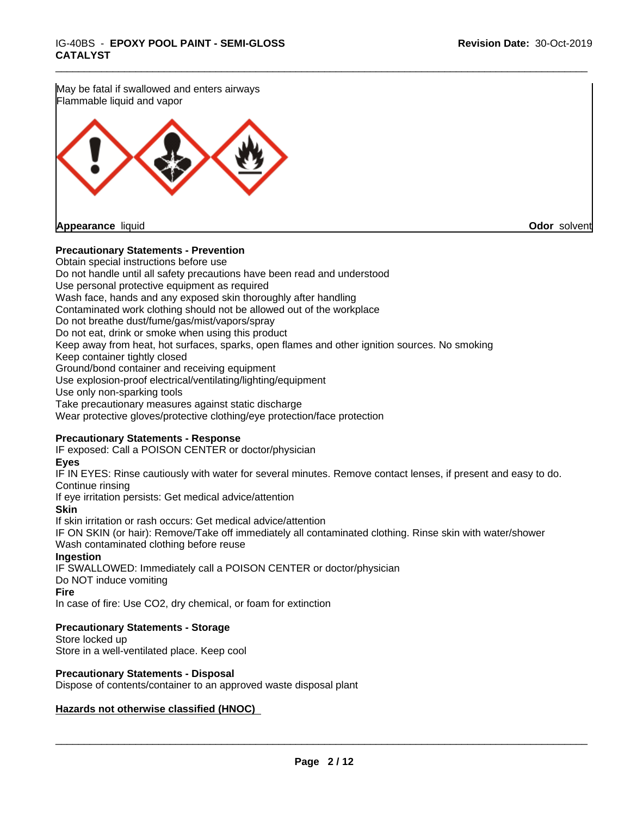May be fatal if swallowed and enters airways Flammable liquid and vapor

**Appearance** liquid **Odor** solvent

### **Precautionary Statements - Prevention**

Obtain special instructions before use Do not handle until all safety precautions have been read and understood Use personal protective equipment as required Wash face, hands and any exposed skin thoroughly after handling Contaminated work clothing should not be allowed out of the workplace Do not breathe dust/fume/gas/mist/vapors/spray Do not eat, drink or smoke when using this product Keep away from heat, hot surfaces, sparks, open flames and other ignition sources. No smoking Keep container tightly closed Ground/bond container and receiving equipment Use explosion-proof electrical/ventilating/lighting/equipment Use only non-sparking tools Take precautionary measures against static discharge Wear protective gloves/protective clothing/eye protection/face protection **Precautionary Statements - Response** IF exposed: Call a POISON CENTER or doctor/physician **Eyes** IF IN EYES: Rinse cautiously with water for several minutes. Remove contact lenses, if present and easy to do. Continue rinsing

\_\_\_\_\_\_\_\_\_\_\_\_\_\_\_\_\_\_\_\_\_\_\_\_\_\_\_\_\_\_\_\_\_\_\_\_\_\_\_\_\_\_\_\_\_\_\_\_\_\_\_\_\_\_\_\_\_\_\_\_\_\_\_\_\_\_\_\_\_\_\_\_\_\_\_\_\_\_\_\_\_\_\_\_\_\_\_\_\_\_\_\_\_

If eye irritation persists: Get medical advice/attention

**Skin**

If skin irritation or rash occurs: Get medical advice/attention IF ON SKIN (or hair): Remove/Take off immediately all contaminated clothing. Rinse skin with water/shower Wash contaminated clothing before reuse **Ingestion** IF SWALLOWED: Immediately call a POISON CENTER or doctor/physician

Do NOT induce vomiting

**Fire**

In case of fire: Use CO2, dry chemical, or foam for extinction

### **Precautionary Statements - Storage**

Store locked up Store in a well-ventilated place. Keep cool

**Precautionary Statements - Disposal**

Dispose of contents/container to an approved waste disposal plant

## **Hazards not otherwise classified (HNOC)**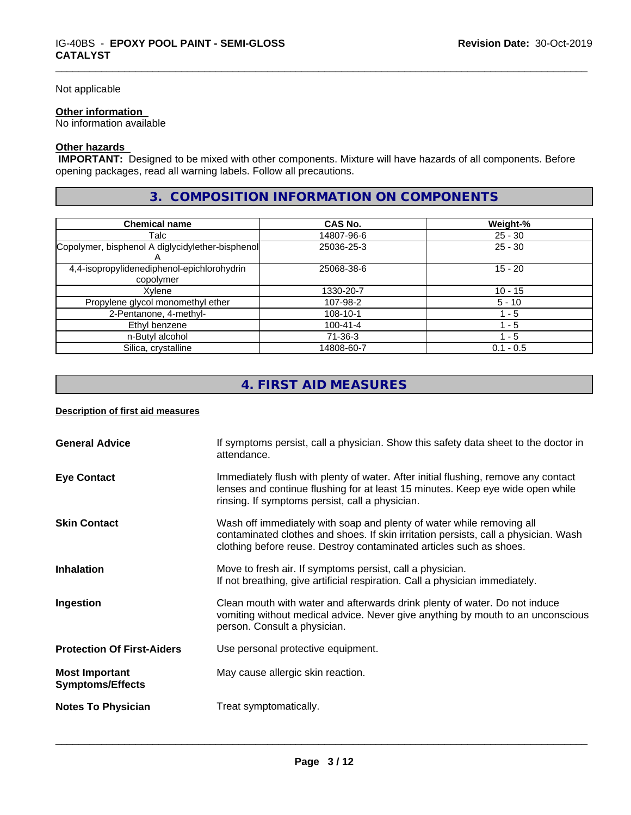#### Not applicable

#### **Other information**

No information available

## **Other hazards**

 **IMPORTANT:** Designed to be mixed with other components. Mixture will have hazards of all components. Before opening packages, read all warning labels. Follow all precautions.

# **3. COMPOSITION INFORMATION ON COMPONENTS**

\_\_\_\_\_\_\_\_\_\_\_\_\_\_\_\_\_\_\_\_\_\_\_\_\_\_\_\_\_\_\_\_\_\_\_\_\_\_\_\_\_\_\_\_\_\_\_\_\_\_\_\_\_\_\_\_\_\_\_\_\_\_\_\_\_\_\_\_\_\_\_\_\_\_\_\_\_\_\_\_\_\_\_\_\_\_\_\_\_\_\_\_\_

| <b>Chemical name</b>                             | <b>CAS No.</b> | Weight-%    |
|--------------------------------------------------|----------------|-------------|
| Talc                                             | 14807-96-6     | $25 - 30$   |
| Copolymer, bisphenol A diglycidylether-bisphenol | 25036-25-3     | $25 - 30$   |
|                                                  |                |             |
| 4,4-isopropylidenediphenol-epichlorohydrin       | 25068-38-6     | $15 - 20$   |
| copolymer                                        |                |             |
| Xvlene                                           | 1330-20-7      | $10 - 15$   |
| Propylene glycol monomethyl ether                | 107-98-2       | $5 - 10$    |
| 2-Pentanone, 4-methyl-                           | 108-10-1       | l - 5       |
| Ethyl benzene                                    | $100 - 41 - 4$ | 1 - 5       |
| n-Butyl alcohol                                  | $71-36-3$      | 1 - 5       |
| Silica, crystalline                              | 14808-60-7     | $0.1 - 0.5$ |

# **4. FIRST AID MEASURES**

#### **Description of first aid measures**

| <b>General Advice</b>                            | If symptoms persist, call a physician. Show this safety data sheet to the doctor in<br>attendance.                                                                                                                                  |
|--------------------------------------------------|-------------------------------------------------------------------------------------------------------------------------------------------------------------------------------------------------------------------------------------|
| <b>Eye Contact</b>                               | Immediately flush with plenty of water. After initial flushing, remove any contact<br>lenses and continue flushing for at least 15 minutes. Keep eye wide open while<br>rinsing. If symptoms persist, call a physician.             |
| <b>Skin Contact</b>                              | Wash off immediately with soap and plenty of water while removing all<br>contaminated clothes and shoes. If skin irritation persists, call a physician. Wash<br>clothing before reuse. Destroy contaminated articles such as shoes. |
| <b>Inhalation</b>                                | Move to fresh air. If symptoms persist, call a physician.<br>If not breathing, give artificial respiration. Call a physician immediately.                                                                                           |
| Ingestion                                        | Clean mouth with water and afterwards drink plenty of water. Do not induce<br>vomiting without medical advice. Never give anything by mouth to an unconscious<br>person. Consult a physician.                                       |
| <b>Protection Of First-Aiders</b>                | Use personal protective equipment.                                                                                                                                                                                                  |
| <b>Most Important</b><br><b>Symptoms/Effects</b> | May cause allergic skin reaction.                                                                                                                                                                                                   |
| <b>Notes To Physician</b>                        | Treat symptomatically.                                                                                                                                                                                                              |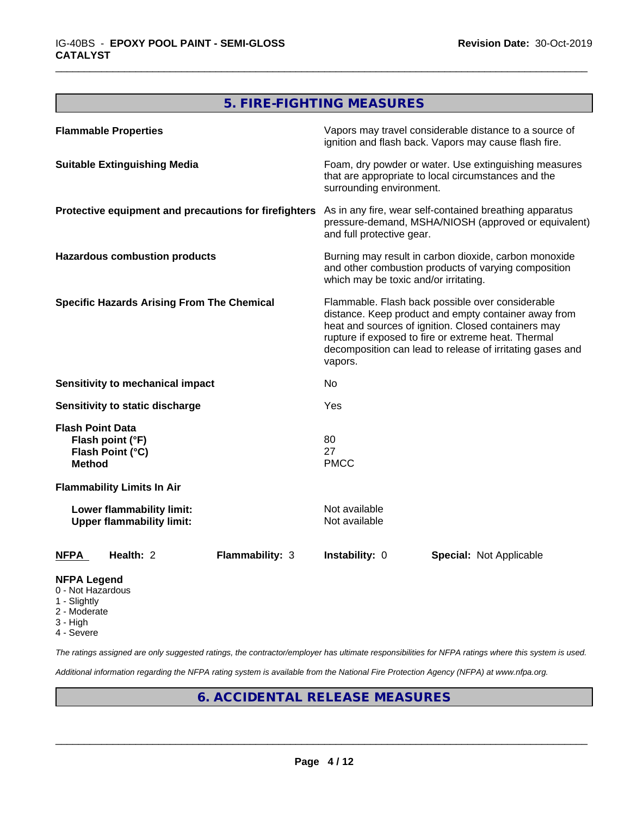# **5. FIRE-FIGHTING MEASURES**

\_\_\_\_\_\_\_\_\_\_\_\_\_\_\_\_\_\_\_\_\_\_\_\_\_\_\_\_\_\_\_\_\_\_\_\_\_\_\_\_\_\_\_\_\_\_\_\_\_\_\_\_\_\_\_\_\_\_\_\_\_\_\_\_\_\_\_\_\_\_\_\_\_\_\_\_\_\_\_\_\_\_\_\_\_\_\_\_\_\_\_\_\_

| <b>Flammable Properties</b>                                                      | Vapors may travel considerable distance to a source of<br>ignition and flash back. Vapors may cause flash fire.                                                                                                                                                                                |  |  |
|----------------------------------------------------------------------------------|------------------------------------------------------------------------------------------------------------------------------------------------------------------------------------------------------------------------------------------------------------------------------------------------|--|--|
| <b>Suitable Extinguishing Media</b>                                              | Foam, dry powder or water. Use extinguishing measures<br>that are appropriate to local circumstances and the<br>surrounding environment.                                                                                                                                                       |  |  |
| Protective equipment and precautions for firefighters                            | As in any fire, wear self-contained breathing apparatus<br>pressure-demand, MSHA/NIOSH (approved or equivalent)<br>and full protective gear.                                                                                                                                                   |  |  |
| <b>Hazardous combustion products</b>                                             | Burning may result in carbon dioxide, carbon monoxide<br>and other combustion products of varying composition<br>which may be toxic and/or irritating.                                                                                                                                         |  |  |
| <b>Specific Hazards Arising From The Chemical</b>                                | Flammable. Flash back possible over considerable<br>distance. Keep product and empty container away from<br>heat and sources of ignition. Closed containers may<br>rupture if exposed to fire or extreme heat. Thermal<br>decomposition can lead to release of irritating gases and<br>vapors. |  |  |
| Sensitivity to mechanical impact                                                 | No                                                                                                                                                                                                                                                                                             |  |  |
| Sensitivity to static discharge                                                  | Yes                                                                                                                                                                                                                                                                                            |  |  |
| <b>Flash Point Data</b><br>Flash point (°F)<br>Flash Point (°C)<br><b>Method</b> | 80<br>27<br><b>PMCC</b>                                                                                                                                                                                                                                                                        |  |  |
| <b>Flammability Limits In Air</b>                                                |                                                                                                                                                                                                                                                                                                |  |  |
| Lower flammability limit:<br><b>Upper flammability limit:</b>                    | Not available<br>Not available                                                                                                                                                                                                                                                                 |  |  |
| Health: 2<br><b>Flammability: 3</b><br><b>NFPA</b>                               | Instability: 0<br><b>Special: Not Applicable</b>                                                                                                                                                                                                                                               |  |  |
| <b>NFPA Legend</b>                                                               |                                                                                                                                                                                                                                                                                                |  |  |

- 0 Not Hazardous
- 1 Slightly
- 2 Moderate
- 3 High
- 4 Severe

*The ratings assigned are only suggested ratings, the contractor/employer has ultimate responsibilities for NFPA ratings where this system is used.*

*Additional information regarding the NFPA rating system is available from the National Fire Protection Agency (NFPA) at www.nfpa.org.*

# **6. ACCIDENTAL RELEASE MEASURES**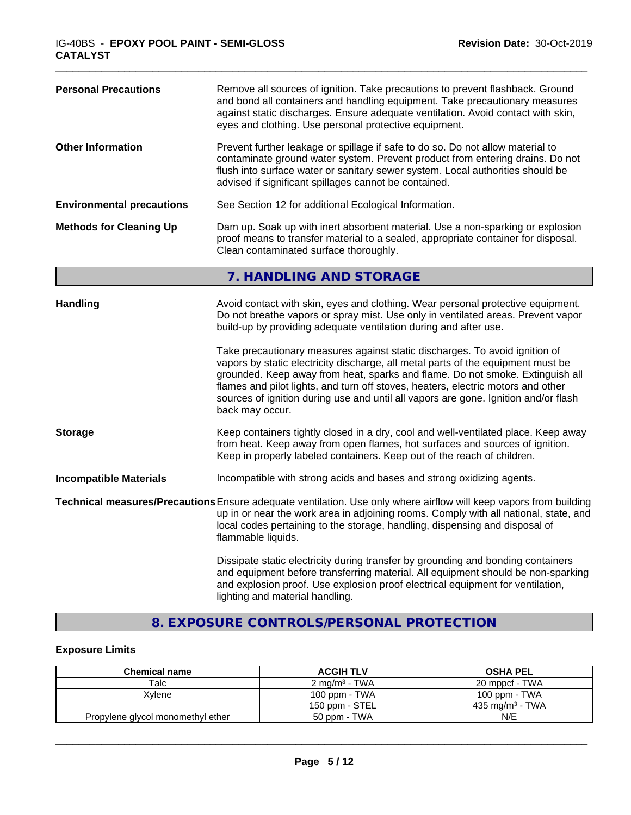| <b>Personal Precautions</b>      | Remove all sources of ignition. Take precautions to prevent flashback. Ground<br>and bond all containers and handling equipment. Take precautionary measures<br>against static discharges. Ensure adequate ventilation. Avoid contact with skin,<br>eyes and clothing. Use personal protective equipment.                                                                                                                                      |
|----------------------------------|------------------------------------------------------------------------------------------------------------------------------------------------------------------------------------------------------------------------------------------------------------------------------------------------------------------------------------------------------------------------------------------------------------------------------------------------|
| <b>Other Information</b>         | Prevent further leakage or spillage if safe to do so. Do not allow material to<br>contaminate ground water system. Prevent product from entering drains. Do not<br>flush into surface water or sanitary sewer system. Local authorities should be<br>advised if significant spillages cannot be contained.                                                                                                                                     |
| <b>Environmental precautions</b> | See Section 12 for additional Ecological Information.                                                                                                                                                                                                                                                                                                                                                                                          |
| <b>Methods for Cleaning Up</b>   | Dam up. Soak up with inert absorbent material. Use a non-sparking or explosion<br>proof means to transfer material to a sealed, appropriate container for disposal.<br>Clean contaminated surface thoroughly.                                                                                                                                                                                                                                  |
|                                  | 7. HANDLING AND STORAGE                                                                                                                                                                                                                                                                                                                                                                                                                        |
| <b>Handling</b>                  | Avoid contact with skin, eyes and clothing. Wear personal protective equipment.<br>Do not breathe vapors or spray mist. Use only in ventilated areas. Prevent vapor<br>build-up by providing adequate ventilation during and after use.                                                                                                                                                                                                        |
|                                  | Take precautionary measures against static discharges. To avoid ignition of<br>vapors by static electricity discharge, all metal parts of the equipment must be<br>grounded. Keep away from heat, sparks and flame. Do not smoke. Extinguish all<br>flames and pilot lights, and turn off stoves, heaters, electric motors and other<br>sources of ignition during use and until all vapors are gone. Ignition and/or flash<br>back may occur. |
| <b>Storage</b>                   | Keep containers tightly closed in a dry, cool and well-ventilated place. Keep away<br>from heat. Keep away from open flames, hot surfaces and sources of ignition.<br>Keep in properly labeled containers. Keep out of the reach of children.                                                                                                                                                                                                  |
| <b>Incompatible Materials</b>    | Incompatible with strong acids and bases and strong oxidizing agents.                                                                                                                                                                                                                                                                                                                                                                          |
|                                  | Technical measures/Precautions Ensure adequate ventilation. Use only where airflow will keep vapors from building<br>up in or near the work area in adjoining rooms. Comply with all national, state, and<br>local codes pertaining to the storage, handling, dispensing and disposal of<br>flammable liquids.                                                                                                                                 |
|                                  | Dissipate static electricity during transfer by grounding and bonding containers<br>and equipment before transferring material. All equipment should be non-sparking<br>and explosion proof. Use explosion proof electrical equipment for ventilation,<br>lighting and material handling.                                                                                                                                                      |

\_\_\_\_\_\_\_\_\_\_\_\_\_\_\_\_\_\_\_\_\_\_\_\_\_\_\_\_\_\_\_\_\_\_\_\_\_\_\_\_\_\_\_\_\_\_\_\_\_\_\_\_\_\_\_\_\_\_\_\_\_\_\_\_\_\_\_\_\_\_\_\_\_\_\_\_\_\_\_\_\_\_\_\_\_\_\_\_\_\_\_\_\_

# **8. EXPOSURE CONTROLS/PERSONAL PROTECTION**

# **Exposure Limits**

| <b>Chemical name</b>              | <b>ACGIH TLV</b>         | <b>OSHA PEL</b>             |  |
|-----------------------------------|--------------------------|-----------------------------|--|
| Talc                              | $2 \text{ mg/m}^3$ - TWA | 20 mppcf - TWA              |  |
| Xylene                            | 100 ppm - TWA            | 100 ppm - TWA               |  |
|                                   | 150 ppm - STEL           | 435 mg/m <sup>3</sup> - TWA |  |
| Propylene glycol monomethyl ether | 50 ppm - TWA             | N/E                         |  |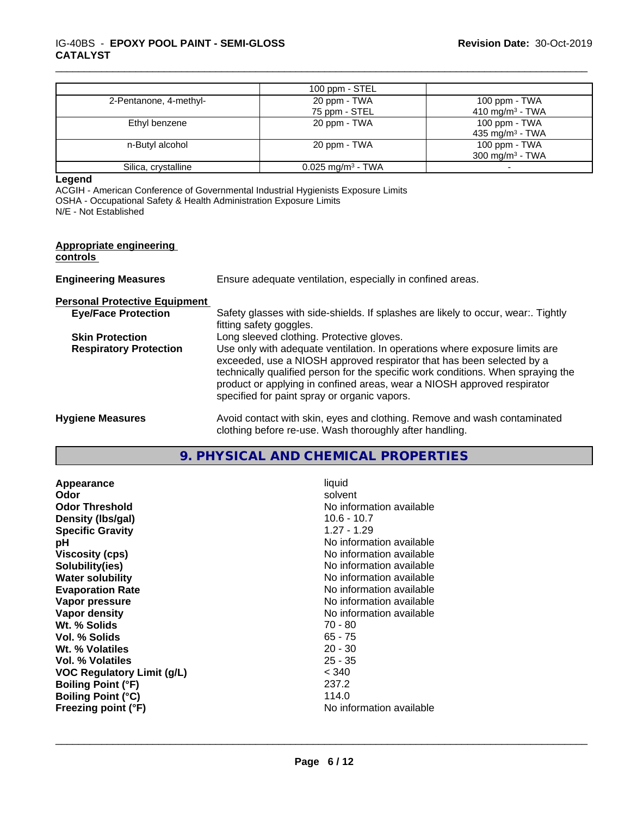|                        | 100 ppm $-$ STEL                |                             |
|------------------------|---------------------------------|-----------------------------|
| 2-Pentanone, 4-methyl- | 20 ppm - TWA                    | 100 ppm - TWA               |
|                        | 75 ppm - STEL                   | 410 mg/m <sup>3</sup> - TWA |
| Ethyl benzene          | 20 ppm - TWA                    | 100 ppm - TWA               |
|                        |                                 | 435 mg/m <sup>3</sup> - TWA |
| n-Butyl alcohol        | 20 ppm - TWA                    | 100 ppm - $TWA$             |
|                        |                                 | 300 mg/m <sup>3</sup> - TWA |
| Silica, crystalline    | $0.025$ mg/m <sup>3</sup> - TWA |                             |

#### **Legend**

ACGIH - American Conference of Governmental Industrial Hygienists Exposure Limits

OSHA - Occupational Safety & Health Administration Exposure Limits

N/E - Not Established

#### **Appropriate engineering controls**

**Engineering Measures** Ensure adequate ventilation, especially in confined areas.

**Personal Protective Equipment**

**Eye/Face Protection** Safety glasses with side-shields. If splashes are likely to occur, wear:. Tightly fitting safety goggles.

\_\_\_\_\_\_\_\_\_\_\_\_\_\_\_\_\_\_\_\_\_\_\_\_\_\_\_\_\_\_\_\_\_\_\_\_\_\_\_\_\_\_\_\_\_\_\_\_\_\_\_\_\_\_\_\_\_\_\_\_\_\_\_\_\_\_\_\_\_\_\_\_\_\_\_\_\_\_\_\_\_\_\_\_\_\_\_\_\_\_\_\_\_

**Skin Protection** Long sleeved clothing. Protective gloves.

**Respiratory Protection** Use only with adequate ventilation. In operations where exposure limits are exceeded, use a NIOSH approved respirator that has been selected by a technically qualified person for the specific work conditions. When spraying the product or applying in confined areas, wear a NIOSH approved respirator specified for paint spray or organic vapors.

**Hygiene Measures** Avoid contact with skin, eyes and clothing. Remove and wash contaminated clothing before re-use. Wash thoroughly after handling.

# **9. PHYSICAL AND CHEMICAL PROPERTIES**

**Appearance** liquid **Odor** solvent **Odor Threshold No information available No information available Density (lbs/gal)** 10.6 - 10.7 **Specific Gravity** 1.27 - 1.29 **pH pH**  $\blacksquare$ **Viscosity (cps)** No information available **Solubility(ies)** No information available **Water solubility Water solubility Water solubility Water solubility Water solubility Water solution Evaporation Rate No information available No information available Vapor pressure** No information available **No information** available **Vapor density**<br> **Vapor density**<br> **Wt.** % Solids<br>
Wt. % Solids Wt. % Solids **Vol. % Solids** 65 - 75 **Wt. % Volatiles** 20 - 30 **Vol. % Volatiles** 25 - 35 **VOC Regulatory Limit (g/L)** < 340 **Boiling Point (°F)** 237.2 **Boiling Point (°C) Freezing point (°F)** No information available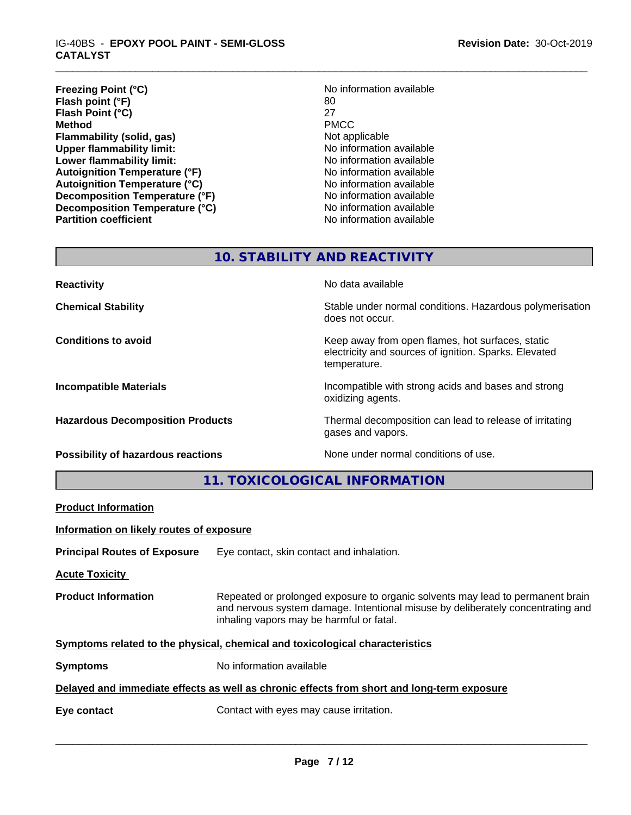#### IG-40BS - **EPOXY POOL PAINT - SEMI-GLOSS CATALYST**

| <b>Freezing Point (°C)</b>           | No information available |
|--------------------------------------|--------------------------|
| Flash point (°F)                     | 80                       |
| Flash Point (°C)                     | 27                       |
| Method                               | <b>PMCC</b>              |
| Flammability (solid, gas)            | Not applicable           |
| <b>Upper flammability limit:</b>     | No information available |
| Lower flammability limit:            | No information available |
| <b>Autoignition Temperature (°F)</b> | No information available |
| <b>Autoignition Temperature (°C)</b> | No information available |
| Decomposition Temperature (°F)       | No information available |
| Decomposition Temperature (°C)       | No information available |
| <b>Partition coefficient</b>         | No information available |

# **No information available**<br>80 **Flammability (solid, gas)** Not applicable **No information available Lower flammability limit:** No information available **Autoignition Temperature (°F)** No information available **Autoignition Temperature (°C)** No information available **No information available No information available No information available**

\_\_\_\_\_\_\_\_\_\_\_\_\_\_\_\_\_\_\_\_\_\_\_\_\_\_\_\_\_\_\_\_\_\_\_\_\_\_\_\_\_\_\_\_\_\_\_\_\_\_\_\_\_\_\_\_\_\_\_\_\_\_\_\_\_\_\_\_\_\_\_\_\_\_\_\_\_\_\_\_\_\_\_\_\_\_\_\_\_\_\_\_\_

# **10. STABILITY AND REACTIVITY**

| <b>Reactivity</b>                         | No data available                                                                                                         |
|-------------------------------------------|---------------------------------------------------------------------------------------------------------------------------|
| <b>Chemical Stability</b>                 | Stable under normal conditions. Hazardous polymerisation<br>does not occur.                                               |
| <b>Conditions to avoid</b>                | Keep away from open flames, hot surfaces, static<br>electricity and sources of ignition. Sparks. Elevated<br>temperature. |
| <b>Incompatible Materials</b>             | Incompatible with strong acids and bases and strong<br>oxidizing agents.                                                  |
| <b>Hazardous Decomposition Products</b>   | Thermal decomposition can lead to release of irritating<br>gases and vapors.                                              |
| <b>Possibility of hazardous reactions</b> | None under normal conditions of use.                                                                                      |

**11. TOXICOLOGICAL INFORMATION**

**Product Information**

**Information on likely routes of exposure**

**Principal Routes of Exposure** Eye contact, skin contact and inhalation.

**Acute Toxicity** 

**Product Information** Repeated or prolonged exposure to organic solvents may lead to permanent brain and nervous system damage. Intentional misuse by deliberately concentrating and inhaling vapors may be harmful or fatal.

**<u>Symptoms related to the physical, chemical and toxicological characteristics</u>** 

**Symptoms** No information available

**Delayed and immediate effects as well as chronic effects from short and long-term exposure**

**Eye contact Exercise 2018** Contact with eyes may cause irritation.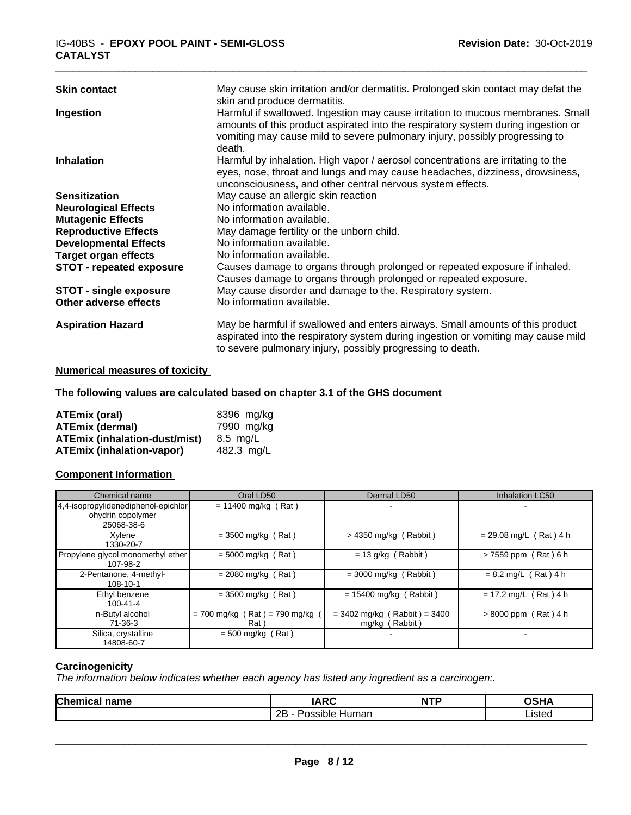| <b>Skin contact</b>             | May cause skin irritation and/or dermatitis. Prolonged skin contact may defat the<br>skin and produce dermatitis.                                                                                                                                             |
|---------------------------------|---------------------------------------------------------------------------------------------------------------------------------------------------------------------------------------------------------------------------------------------------------------|
| Ingestion                       | Harmful if swallowed. Ingestion may cause irritation to mucous membranes. Small<br>amounts of this product aspirated into the respiratory system during ingestion or<br>vomiting may cause mild to severe pulmonary injury, possibly progressing to<br>death. |
| <b>Inhalation</b>               | Harmful by inhalation. High vapor / aerosol concentrations are irritating to the<br>eyes, nose, throat and lungs and may cause headaches, dizziness, drowsiness,<br>unconsciousness, and other central nervous system effects.                                |
| <b>Sensitization</b>            | May cause an allergic skin reaction                                                                                                                                                                                                                           |
| <b>Neurological Effects</b>     | No information available.                                                                                                                                                                                                                                     |
| <b>Mutagenic Effects</b>        | No information available.                                                                                                                                                                                                                                     |
| <b>Reproductive Effects</b>     | May damage fertility or the unborn child.                                                                                                                                                                                                                     |
| <b>Developmental Effects</b>    | No information available.                                                                                                                                                                                                                                     |
| <b>Target organ effects</b>     | No information available.                                                                                                                                                                                                                                     |
| <b>STOT - repeated exposure</b> | Causes damage to organs through prolonged or repeated exposure if inhaled.<br>Causes damage to organs through prolonged or repeated exposure.                                                                                                                 |
| <b>STOT - single exposure</b>   | May cause disorder and damage to the. Respiratory system.                                                                                                                                                                                                     |
| Other adverse effects           | No information available.                                                                                                                                                                                                                                     |
| <b>Aspiration Hazard</b>        | May be harmful if swallowed and enters airways. Small amounts of this product<br>aspirated into the respiratory system during ingestion or vomiting may cause mild<br>to severe pulmonary injury, possibly progressing to death.                              |

## **Numerical measures of toxicity**

# **The following values are calculated based on chapter 3.1 of the GHS document**

| ATEmix (oral)                        | 8396 mg/ka |
|--------------------------------------|------------|
| <b>ATEmix (dermal)</b>               | 7990 mg/kg |
| <b>ATEmix (inhalation-dust/mist)</b> | 8.5 ma/L   |
| <b>ATEmix (inhalation-vapor)</b>     | 482.3 ma/L |

### **Component Information**

| Chemical name                                                          | Oral LD50                                | Dermal LD50                                      | Inhalation LC50          |
|------------------------------------------------------------------------|------------------------------------------|--------------------------------------------------|--------------------------|
| 4,4-isopropylidenediphenol-epichlor<br>ohydrin copolymer<br>25068-38-6 | $= 11400$ mg/kg (Rat)                    |                                                  |                          |
| Xylene<br>1330-20-7                                                    | $=$ 3500 mg/kg (Rat)                     | $>$ 4350 mg/kg (Rabbit)                          | $= 29.08$ mg/L (Rat) 4 h |
| Propylene glycol monomethyl ether<br>107-98-2                          | $= 5000$ mg/kg (Rat)                     | $= 13$ g/kg (Rabbit)                             | >7559 ppm (Rat) 6 h      |
| 2-Pentanone, 4-methyl-<br>108-10-1                                     | $= 2080$ mg/kg (Rat)                     | $=$ 3000 mg/kg (Rabbit)                          | $= 8.2$ mg/L (Rat) 4 h   |
| Ethyl benzene<br>$100 - 41 - 4$                                        | $= 3500$ mg/kg (Rat)                     | $= 15400$ mg/kg (Rabbit)                         | $= 17.2$ mg/L (Rat) 4 h  |
| n-Butyl alcohol<br>71-36-3                                             | $= 700$ mg/kg (Rat) = 790 mg/kg<br>Rat ) | $= 3402$ mg/kg (Rabbit) = 3400<br>mg/kg (Rabbit) | $> 8000$ ppm (Rat) 4 h   |
| Silica, crystalline<br>14808-60-7                                      | $= 500$ mg/kg (Rat)                      |                                                  |                          |

### **Carcinogenicity**

*The information below indicateswhether each agency has listed any ingredient as a carcinogen:.*

| Chemical<br>name | IADC<br>I A<br>n<br>IN                                   | NTP | <b>OCILA</b> |
|------------------|----------------------------------------------------------|-----|--------------|
|                  | $\cdots$<br>ם מ<br>`sıble<br>Human<br>$\sim$ $\sim$<br>ᅩ |     | ∟ısted⊦      |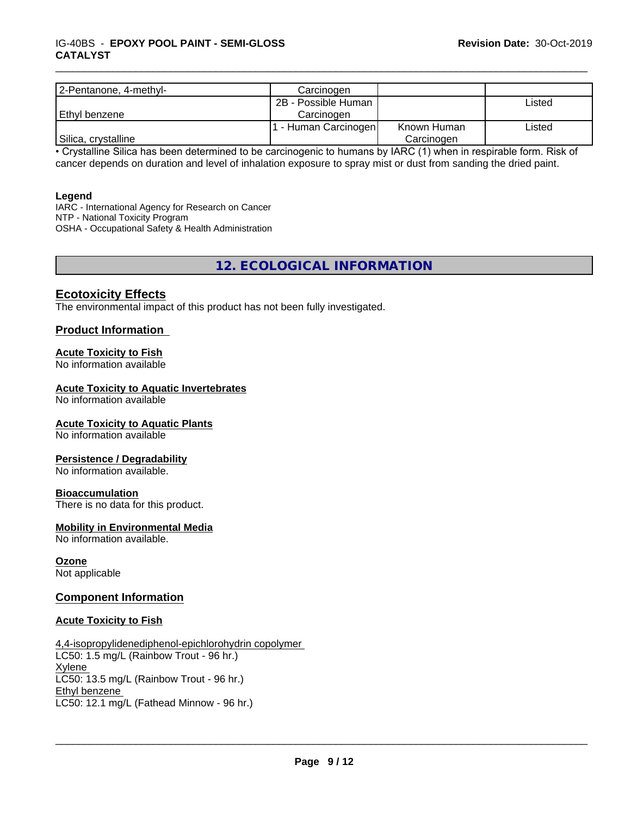| 2-Pentanone, 4-methyl- | Carcinogen           |             |        |
|------------------------|----------------------|-------------|--------|
|                        | 2B - Possible Human  |             | Listed |
| l Ethvl benzene        | Carcinogen           |             |        |
|                        | I - Human Carcinogen | Known Human | Listed |
| Silica, crystalline    |                      | Carcinogen  |        |

\_\_\_\_\_\_\_\_\_\_\_\_\_\_\_\_\_\_\_\_\_\_\_\_\_\_\_\_\_\_\_\_\_\_\_\_\_\_\_\_\_\_\_\_\_\_\_\_\_\_\_\_\_\_\_\_\_\_\_\_\_\_\_\_\_\_\_\_\_\_\_\_\_\_\_\_\_\_\_\_\_\_\_\_\_\_\_\_\_\_\_\_\_

• Crystalline Silica has been determined to be carcinogenic to humans by IARC (1) when in respirable form. Risk of cancer depends on duration and level of inhalation exposure to spray mist or dust from sanding the dried paint.

#### **Legend**

IARC - International Agency for Research on Cancer NTP - National Toxicity Program OSHA - Occupational Safety & Health Administration

**12. ECOLOGICAL INFORMATION**

## **Ecotoxicity Effects**

The environmental impact of this product has not been fully investigated.

## **Product Information**

#### **Acute Toxicity to Fish**

No information available

#### **Acute Toxicity to Aquatic Invertebrates**

No information available

#### **Acute Toxicity to Aquatic Plants**

No information available

#### **Persistence / Degradability**

No information available.

#### **Bioaccumulation**

There is no data for this product.

#### **Mobility in Environmental Media**

No information available.

#### **Ozone**

Not applicable

#### **Component Information**

#### **Acute Toxicity to Fish**

4,4-isopropylidenediphenol-epichlorohydrin copolymer LC50: 1.5 mg/L (Rainbow Trout - 96 hr.) Xylene LC50: 13.5 mg/L (Rainbow Trout - 96 hr.) Ethyl benzene LC50: 12.1 mg/L (Fathead Minnow - 96 hr.)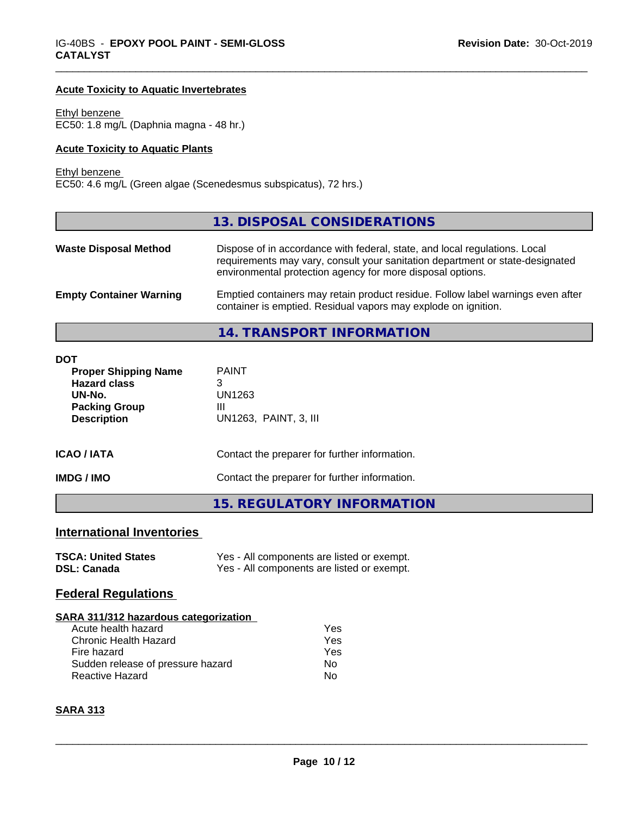#### **Acute Toxicity to Aquatic Invertebrates**

Ethyl benzene EC50: 1.8 mg/L (Daphnia magna - 48 hr.)

#### **Acute Toxicity to Aquatic Plants**

Ethyl benzene

EC50: 4.6 mg/L (Green algae (Scenedesmus subspicatus), 72 hrs.)

|                                | 13. DISPOSAL CONSIDERATIONS                                                                                                                                                                                               |
|--------------------------------|---------------------------------------------------------------------------------------------------------------------------------------------------------------------------------------------------------------------------|
| <b>Waste Disposal Method</b>   | Dispose of in accordance with federal, state, and local regulations. Local<br>requirements may vary, consult your sanitation department or state-designated<br>environmental protection agency for more disposal options. |
| <b>Empty Container Warning</b> | Emptied containers may retain product residue. Follow label warnings even after<br>container is emptied. Residual vapors may explode on ignition.                                                                         |
|                                | 14. TRANSPORT INFORMATION                                                                                                                                                                                                 |

\_\_\_\_\_\_\_\_\_\_\_\_\_\_\_\_\_\_\_\_\_\_\_\_\_\_\_\_\_\_\_\_\_\_\_\_\_\_\_\_\_\_\_\_\_\_\_\_\_\_\_\_\_\_\_\_\_\_\_\_\_\_\_\_\_\_\_\_\_\_\_\_\_\_\_\_\_\_\_\_\_\_\_\_\_\_\_\_\_\_\_\_\_

| <b>DOT</b><br><b>Proper Shipping Name</b><br><b>Hazard class</b><br>UN-No.<br><b>Packing Group</b><br><b>Description</b> | <b>PAINT</b><br>3<br>UN1263<br>Ш<br>UN1263, PAINT, 3, III |  |  |
|--------------------------------------------------------------------------------------------------------------------------|-----------------------------------------------------------|--|--|
| <b>ICAO / IATA</b>                                                                                                       | Contact the preparer for further information.             |  |  |
| <b>IMDG/IMO</b>                                                                                                          | Contact the preparer for further information.             |  |  |
|                                                                                                                          | <b>15. REGULATORY INFORMATION</b>                         |  |  |

# **International Inventories**

| <b>TSCA: United States</b> | Yes - All components are listed or exempt. |
|----------------------------|--------------------------------------------|
| <b>DSL: Canada</b>         | Yes - All components are listed or exempt. |

# **Federal Regulations**

#### **SARA 311/312 hazardous categorization**

| Acute health hazard               | Yes |
|-----------------------------------|-----|
| Chronic Health Hazard             | Yes |
| Fire hazard                       | Yes |
| Sudden release of pressure hazard | Nο  |
| <b>Reactive Hazard</b>            | N٥  |

# **SARA 313**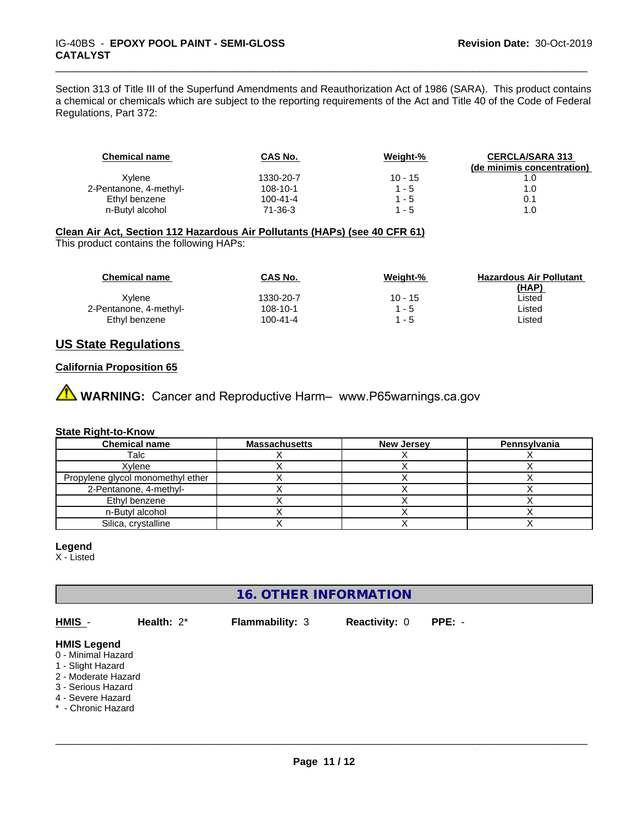Section 313 of Title III of the Superfund Amendments and Reauthorization Act of 1986 (SARA). This product contains a chemical or chemicals which are subject to the reporting requirements of the Act and Title 40 of the Code of Federal Regulations, Part 372:

\_\_\_\_\_\_\_\_\_\_\_\_\_\_\_\_\_\_\_\_\_\_\_\_\_\_\_\_\_\_\_\_\_\_\_\_\_\_\_\_\_\_\_\_\_\_\_\_\_\_\_\_\_\_\_\_\_\_\_\_\_\_\_\_\_\_\_\_\_\_\_\_\_\_\_\_\_\_\_\_\_\_\_\_\_\_\_\_\_\_\_\_\_

| <b>Chemical name</b>   | CAS No.   | Weight-%  | <b>CERCLA/SARA 313</b>     |
|------------------------|-----------|-----------|----------------------------|
|                        |           |           | (de minimis concentration) |
| Xvlene                 | 1330-20-7 | $10 - 15$ |                            |
| 2-Pentanone, 4-methyl- | 108-10-1  | $1 - 5$   | 1.0                        |
| Ethyl benzene          | 100-41-4  | $1 - 5$   | 0.1                        |
| n-Butyl alcohol        | 71-36-3   | $1 - 5$   | 1.0                        |

## **Clean Air Act,Section 112 Hazardous Air Pollutants (HAPs) (see 40 CFR 61)**

This product contains the following HAPs:

| <b>Chemical name</b>   | CAS No.        | Weight-%  | <b>Hazardous Air Pollutant</b> |
|------------------------|----------------|-----------|--------------------------------|
|                        |                |           | (HAP)                          |
| Xvlene                 | 1330-20-7      | $10 - 15$ | Listed                         |
| 2-Pentanone, 4-methyl- | 108-10-1       | $1 - 5$   | Listed                         |
| Ethyl benzene          | $100 - 41 - 4$ | 1 - 5     | Listed                         |

# **US State Regulations**

## **California Proposition 65**

**AVIMARNING:** Cancer and Reproductive Harm– www.P65warnings.ca.gov

#### **State Right-to-Know**

| <b>Chemical name</b>              | <b>Massachusetts</b> | <b>New Jersey</b> | <b>Pennsylvania</b> |
|-----------------------------------|----------------------|-------------------|---------------------|
| Talc                              |                      |                   |                     |
| Xvlene                            |                      |                   |                     |
| Propylene glycol monomethyl ether |                      |                   |                     |
| 2-Pentanone, 4-methyl-            |                      |                   |                     |
| Ethyl benzene                     |                      |                   |                     |
| n-Butvl alcohol                   |                      |                   |                     |
| Silica, crystalline               |                      |                   |                     |

# **Legend**

X - Listed

# **16. OTHER INFORMATION**

**HMIS** - **Health:** 2\* **Flammability:** 3 **Reactivity:** 0 **PPE:** - **HMIS Legend** 0 - Minimal Hazard 1 - Slight Hazard 2 - Moderate Hazard

- 3 Serious Hazard
- 4 Severe Hazard
- \* Chronic Hazard